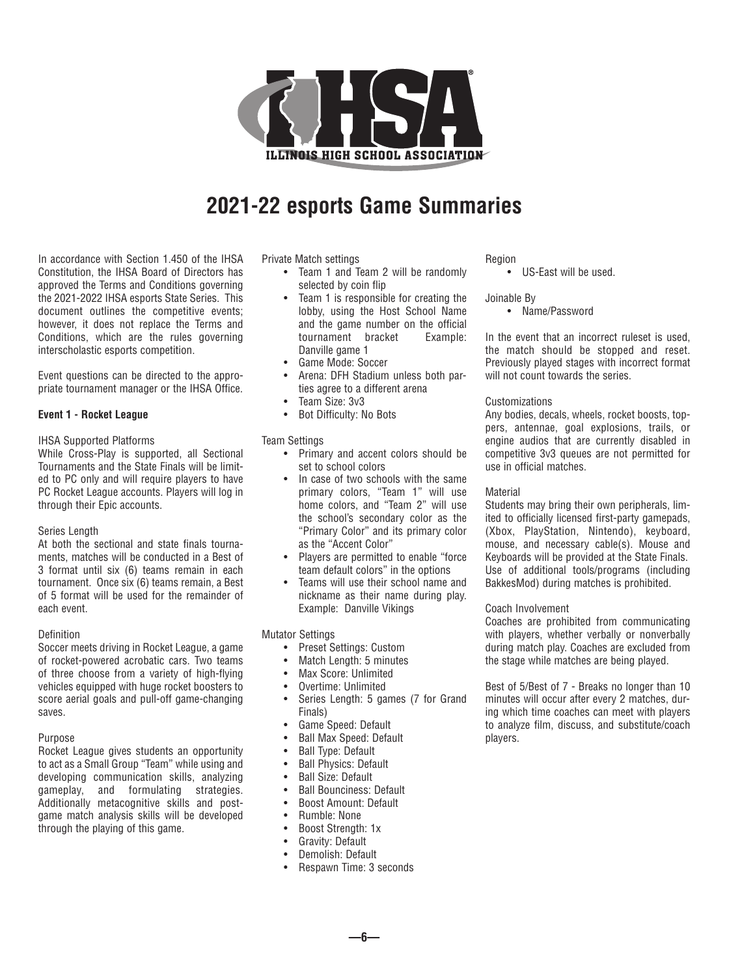

# **2021-22 esports Game Summaries**

In accordance with Section 1.450 of the IHSA Constitution, the IHSA Board of Directors has approved the Terms and Conditions governing the 2021-2022 IHSA esports State Series. This document outlines the competitive events; however, it does not replace the Terms and Conditions, which are the rules governing interscholastic esports competition.

Event questions can be directed to the appropriate tournament manager or the IHSA Office.

#### **Event 1 - Rocket League**

## IHSA Supported Platforms

While Cross-Play is supported, all Sectional Tournaments and the State Finals will be limited to PC only and will require players to have PC Rocket League accounts. Players will log in through their Epic accounts.

#### Series Length

At both the sectional and state finals tournaments, matches will be conducted in a Best of 3 format until six (6) teams remain in each tournament. Once six (6) teams remain, a Best of 5 format will be used for the remainder of each event.

#### Definition

Soccer meets driving in Rocket League, a game of rocket-powered acrobatic cars. Two teams of three choose from a variety of high-flying vehicles equipped with huge rocket boosters to score aerial goals and pull-off game-changing saves.

#### Purpose

Rocket League gives students an opportunity to act as a Small Group "Team" while using and developing communication skills, analyzing gameplay, and formulating strategies. Additionally metacognitive skills and postgame match analysis skills will be developed through the playing of this game.

Private Match settings

- Team 1 and Team 2 will be randomly selected by coin flip
- Team 1 is responsible for creating the lobby, using the Host School Name and the game number on the official tournament bracket Example: Danville game 1
- Game Mode: Soccer
- Arena: DFH Stadium unless both parties agree to a different arena
- Team Size: 3v3
- Bot Difficulty: No Bots

#### Team Settings

- Primary and accent colors should be set to school colors
- In case of two schools with the same primary colors, "Team 1" will use home colors, and "Team 2" will use the school's secondary color as the "Primary Color" and its primary color as the "Accent Color"
- Players are permitted to enable "force team default colors" in the options
- Teams will use their school name and nickname as their name during play. Example: Danville Vikings

Mutator Settings

- Preset Settings: Custom
- Match Length: 5 minutes
- Max Score: Unlimited
- Overtime: Unlimited
- Series Length: 5 games (7 for Grand Finals)
- Game Speed: Default
- Ball Max Speed: Default
- Ball Type: Default
- Ball Physics: Default
- Ball Size: Default
- Ball Bounciness: Default
- Boost Amount: Default
- Rumble: None
- Boost Strength: 1x
- Gravity: Default
- Demolish: Default
- Respawn Time: 3 seconds

#### Region

• US-East will be used.

Joinable By

• Name/Password

In the event that an incorrect ruleset is used, the match should be stopped and reset. Previously played stages with incorrect format will not count towards the series.

#### Customizations

Any bodies, decals, wheels, rocket boosts, toppers, antennae, goal explosions, trails, or engine audios that are currently disabled in competitive 3v3 queues are not permitted for use in official matches.

#### **Material**

Students may bring their own peripherals, limited to officially licensed first-party gamepads, (Xbox, PlayStation, Nintendo), keyboard, mouse, and necessary cable(s). Mouse and Keyboards will be provided at the State Finals. Use of additional tools/programs (including BakkesMod) during matches is prohibited.

#### Coach Involvement

Coaches are prohibited from communicating with players, whether verbally or nonverbally during match play. Coaches are excluded from the stage while matches are being played.

Best of 5/Best of 7 - Breaks no longer than 10 minutes will occur after every 2 matches, during which time coaches can meet with players to analyze film, discuss, and substitute/coach players.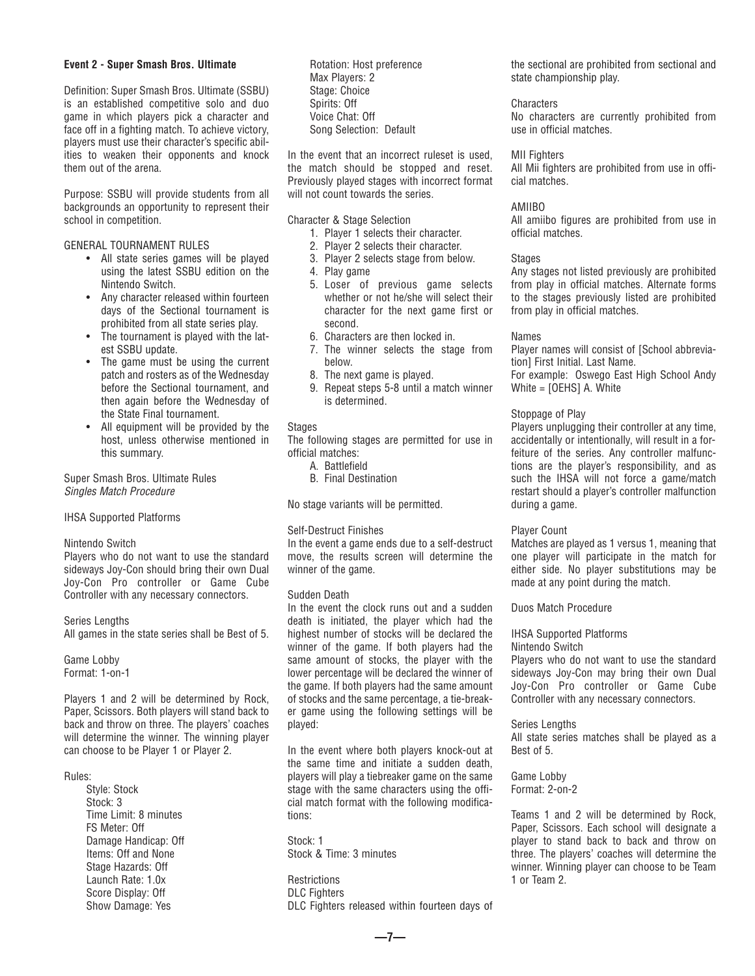#### **Event 2 - Super Smash Bros. Ultimate**

Definition: Super Smash Bros. Ultimate (SSBU) is an established competitive solo and duo game in which players pick a character and face off in a fighting match. To achieve victory, players must use their character's specific abilities to weaken their opponents and knock them out of the arena.

Purpose: SSBU will provide students from all backgrounds an opportunity to represent their school in competition.

GENERAL TOURNAMENT RULES

- All state series games will be played using the latest SSBU edition on the Nintendo Switch.
- Any character released within fourteen days of the Sectional tournament is prohibited from all state series play.
- The tournament is played with the latest SSBU update.
- The game must be using the current patch and rosters as of the Wednesday before the Sectional tournament, and then again before the Wednesday of the State Final tournament.
- All equipment will be provided by the host, unless otherwise mentioned in this summary.

Super Smash Bros. Ultimate Rules *Singles Match Procedure*

IHSA Supported Platforms

#### Nintendo Switch

Players who do not want to use the standard sideways Joy-Con should bring their own Dual Joy-Con Pro controller or Game Cube Controller with any necessary connectors.

Series Lengths

All games in the state series shall be Best of 5.

Game Lobby Format: 1-on-1

Players 1 and 2 will be determined by Rock, Paper, Scissors. Both players will stand back to back and throw on three. The players' coaches will determine the winner. The winning player can choose to be Player 1 or Player 2.

#### Rules:

Style: Stock Stock: 3 Time Limit: 8 minutes FS Meter: Off Damage Handicap: Off Items: Off and None Stage Hazards: Off Launch Rate: 1.0x Score Display: Off Show Damage: Yes

Rotation: Host preference Max Players: 2 Stage: Choice Spirits: Off Voice Chat: Off Song Selection: Default

In the event that an incorrect ruleset is used, the match should be stopped and reset. Previously played stages with incorrect format will not count towards the series.

Character & Stage Selection

- 1. Player 1 selects their character.
- 2. Player 2 selects their character.
- 3. Player 2 selects stage from below.
- 4. Play game
- 5. Loser of previous game selects whether or not he/she will select their character for the next game first or second.
- 6. Characters are then locked in.
- 7. The winner selects the stage from below.
- 8. The next game is played.
- 9. Repeat steps 5-8 until a match winner is determined.

#### **Stages**

The following stages are permitted for use in official matches:

- A. Battlefield
- B. Final Destination

No stage variants will be permitted.

#### Self-Destruct Finishes

In the event a game ends due to a self-destruct move, the results screen will determine the winner of the game.

#### Sudden Death

In the event the clock runs out and a sudden death is initiated, the player which had the highest number of stocks will be declared the winner of the game. If both players had the same amount of stocks, the player with the lower percentage will be declared the winner of the game. If both players had the same amount of stocks and the same percentage, a tie-breaker game using the following settings will be played:

In the event where both players knock-out at the same time and initiate a sudden death, players will play a tiebreaker game on the same stage with the same characters using the official match format with the following modifications:

Stock: 1 Stock & Time: 3 minutes

**Restrictions** DLC Fighters DLC Fighters released within fourteen days of the sectional are prohibited from sectional and state championship play.

**Characters** No characters are currently prohibited from use in official matches.

#### MII Fighters

All Mii fighters are prohibited from use in official matches.

#### AMIIBO

All amiibo figures are prohibited from use in official matches.

#### Stages

Any stages not listed previously are prohibited from play in official matches. Alternate forms to the stages previously listed are prohibited from play in official matches.

#### Names

Player names will consist of [School abbreviation] First Initial. Last Name.

For example: Oswego East High School Andy White = [OEHS] A. White

## Stoppage of Play

Players unplugging their controller at any time, accidentally or intentionally, will result in a forfeiture of the series. Any controller malfunctions are the player's responsibility, and as such the IHSA will not force a game/match restart should a player's controller malfunction during a game.

## Player Count

Matches are played as 1 versus 1, meaning that one player will participate in the match for either side. No player substitutions may be made at any point during the match.

Duos Match Procedure

## IHSA Supported Platforms

#### Nintendo Switch

Players who do not want to use the standard sideways Joy-Con may bring their own Dual Joy-Con Pro controller or Game Cube Controller with any necessary connectors.

#### Series Lengths

All state series matches shall be played as a Best of 5.

Game Lobby Format: 2-on-2

Teams 1 and 2 will be determined by Rock, Paper, Scissors. Each school will designate a player to stand back to back and throw on three. The players' coaches will determine the winner. Winning player can choose to be Team 1 or Team 2.

**—7—**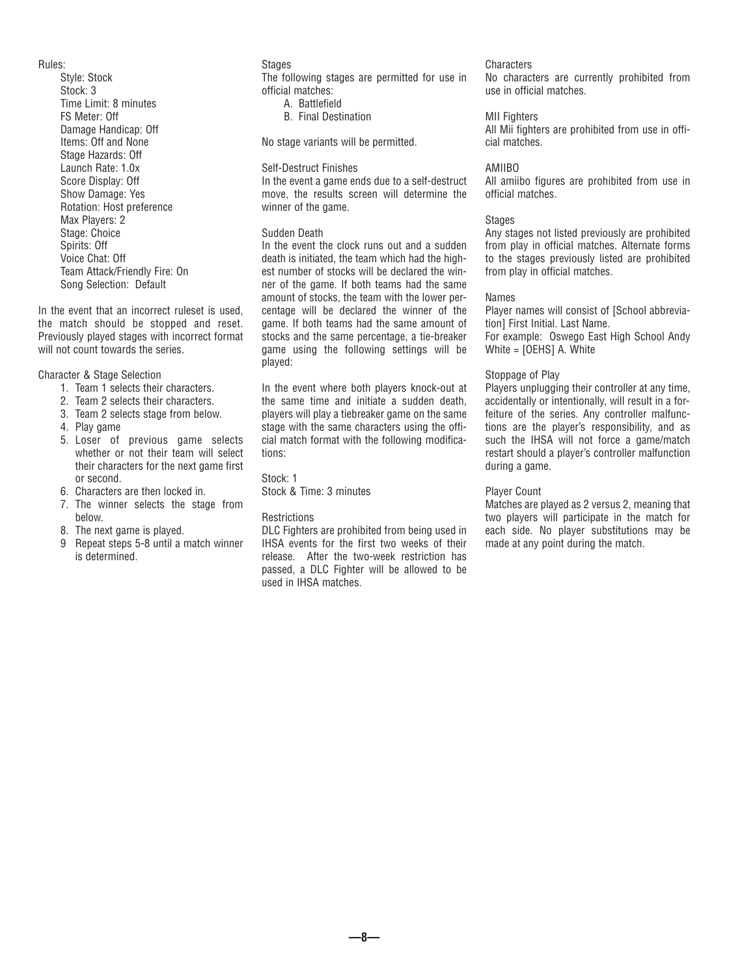#### Rules:

Style: Stock Stock: 3 Time Limit: 8 minutes FS Meter: Off Damage Handicap: Off Items: Off and None Stage Hazards: Off Launch Rate: 1.0x Score Display: Off Show Damage: Yes Rotation: Host preference Max Players: 2 Stage: Choice Spirits: Off Voice Chat: Off Team Attack/Friendly Fire: On Song Selection: Default

In the event that an incorrect ruleset is used, the match should be stopped and reset. Previously played stages with incorrect format will not count towards the series.

#### Character & Stage Selection

- 1. Team 1 selects their characters.
- 2. Team 2 selects their characters.
- 3. Team 2 selects stage from below.
- 4. Play game
- 5. Loser of previous game selects whether or not their team will select their characters for the next game first or second.
- 6. Characters are then locked in.
- 7. The winner selects the stage from below.
- 8. The next game is played.
- 9 Repeat steps 5-8 until a match winner is determined.

#### **Stages** The following stages are permitted for use in official matches:

- A. Battlefield
- B. Final Destination

No stage variants will be permitted.

#### Self-Destruct Finishes

In the event a game ends due to a self-destruct move, the results screen will determine the winner of the game.

#### Sudden Death

In the event the clock runs out and a sudden death is initiated, the team which had the highest number of stocks will be declared the winner of the game. If both teams had the same amount of stocks, the team with the lower percentage will be declared the winner of the game. If both teams had the same amount of stocks and the same percentage, a tie-breaker game using the following settings will be played:

In the event where both players knock-out at the same time and initiate a sudden death, players will play a tiebreaker game on the same stage with the same characters using the official match format with the following modifications:

Stock: 1

Stock & Time: 3 minutes

#### **Restrictions**

DLC Fighters are prohibited from being used in IHSA events for the first two weeks of their release. After the two-week restriction has passed, a DLC Fighter will be allowed to be used in IHSA matches.

#### **Characters**

No characters are currently prohibited from use in official matches.

#### MII Fighters

All Mii fighters are prohibited from use in official matches.

#### AMIIBO

All amiibo figures are prohibited from use in official matches.

#### **Stages**

Any stages not listed previously are prohibited from play in official matches. Alternate forms to the stages previously listed are prohibited from play in official matches.

#### Names

Player names will consist of [School abbreviation] First Initial. Last Name. For example: Oswego East High School Andy White = [OEHS] A. White

#### Stoppage of Play

Players unplugging their controller at any time, accidentally or intentionally, will result in a forfeiture of the series. Any controller malfunctions are the player's responsibility, and as such the IHSA will not force a game/match restart should a player's controller malfunction during a game.

#### Player Count

Matches are played as 2 versus 2, meaning that two players will participate in the match for each side. No player substitutions may be made at any point during the match.